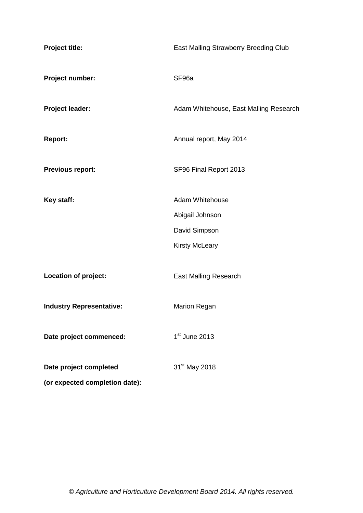| Project title:                  | East Malling Strawberry Breeding Club  |
|---------------------------------|----------------------------------------|
| Project number:                 | SF96a                                  |
| Project leader:                 | Adam Whitehouse, East Malling Research |
| <b>Report:</b>                  | Annual report, May 2014                |
| <b>Previous report:</b>         | SF96 Final Report 2013                 |
| Key staff:                      | <b>Adam Whitehouse</b>                 |
|                                 | Abigail Johnson                        |
|                                 | David Simpson                          |
|                                 | <b>Kirsty McLeary</b>                  |
| Location of project:            | <b>East Malling Research</b>           |
| <b>Industry Representative:</b> | <b>Marion Regan</b>                    |
| Date project commenced:         | $1st$ June 2013                        |
| Date project completed          | 31 <sup>st</sup> May 2018              |
| (or expected completion date):  |                                        |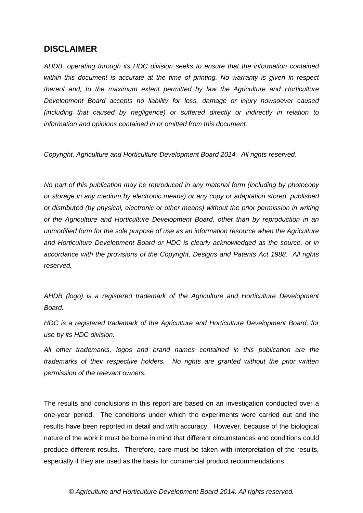## **DISCLAIMER**

*AHDB, operating through its HDC division seeks to ensure that the information contained within this document is accurate at the time of printing. No warranty is given in respect thereof and, to the maximum extent permitted by law the Agriculture and Horticulture Development Board accepts no liability for loss, damage or injury howsoever caused (including that caused by negligence) or suffered directly or indirectly in relation to information and opinions contained in or omitted from this document.* 

*Copyright, Agriculture and Horticulture Development Board 2014. All rights reserved.*

*No part of this publication may be reproduced in any material form (including by photocopy or storage in any medium by electronic means) or any copy or adaptation stored, published or distributed (by physical, electronic or other means) without the prior permission in writing of the Agriculture and Horticulture Development Board, other than by reproduction in an unmodified form for the sole purpose of use as an information resource when the Agriculture and Horticulture Development Board or HDC is clearly acknowledged as the source, or in accordance with the provisions of the Copyright, Designs and Patents Act 1988. All rights reserved.* 

*AHDB (logo) is a registered trademark of the Agriculture and Horticulture Development Board.*

*HDC is a registered trademark of the Agriculture and Horticulture Development Board, for use by its HDC division.*

*All other trademarks, logos and brand names contained in this publication are the trademarks of their respective holders. No rights are granted without the prior written permission of the relevant owners.*

The results and conclusions in this report are based on an investigation conducted over a one-year period. The conditions under which the experiments were carried out and the results have been reported in detail and with accuracy. However, because of the biological nature of the work it must be borne in mind that different circumstances and conditions could produce different results. Therefore, care must be taken with interpretation of the results, especially if they are used as the basis for commercial product recommendations.

*© Agriculture and Horticulture Development Board 2014. All rights reserved.*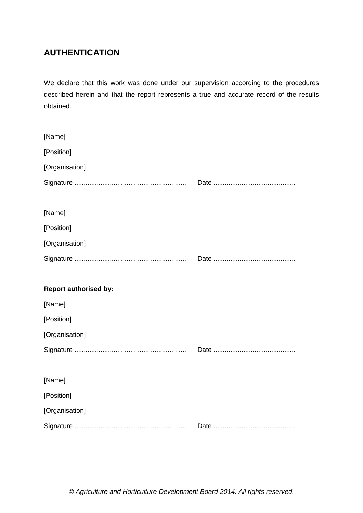# **AUTHENTICATION**

We declare that this work was done under our supervision according to the procedures described herein and that the report represents a true and accurate record of the results obtained.

| [Name]                       |  |
|------------------------------|--|
| [Position]                   |  |
| [Organisation]               |  |
|                              |  |
|                              |  |
| [Name]                       |  |
| [Position]                   |  |
| [Organisation]               |  |
|                              |  |
|                              |  |
|                              |  |
| <b>Report authorised by:</b> |  |
| [Name]                       |  |
| [Position]                   |  |
| [Organisation]               |  |
|                              |  |
|                              |  |
| [Name]                       |  |
| [Position]                   |  |
| [Organisation]               |  |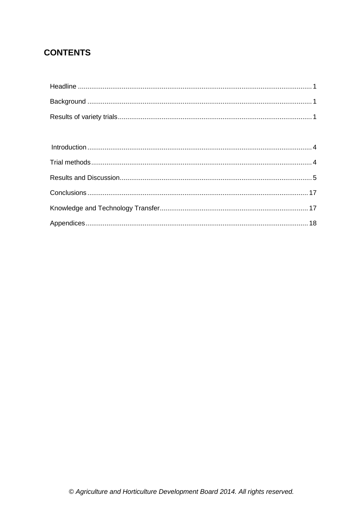# **CONTENTS**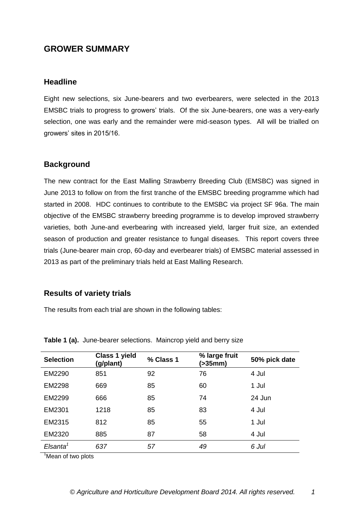## **GROWER SUMMARY**

## <span id="page-4-0"></span>**Headline**

Eight new selections, six June-bearers and two everbearers, were selected in the 2013 EMSBC trials to progress to growers' trials. Of the six June-bearers, one was a very-early selection, one was early and the remainder were mid-season types. All will be trialled on growers' sites in 2015/16.

## <span id="page-4-1"></span>**Background**

The new contract for the East Malling Strawberry Breeding Club (EMSBC) was signed in June 2013 to follow on from the first tranche of the EMSBC breeding programme which had started in 2008. HDC continues to contribute to the EMSBC via project SF 96a. The main objective of the EMSBC strawberry breeding programme is to develop improved strawberry varieties, both June-and everbearing with increased yield, larger fruit size, an extended season of production and greater resistance to fungal diseases. This report covers three trials (June-bearer main crop, 60-day and everbearer trials) of EMSBC material assessed in 2013 as part of the preliminary trials held at East Malling Research.

## <span id="page-4-2"></span>**Results of variety trials**

The results from each trial are shown in the following tables:

| <b>Selection</b>     | <b>Class 1 yield</b><br>(g/plant) | % Class 1 | % large fruit<br>(>35mm) | 50% pick date |
|----------------------|-----------------------------------|-----------|--------------------------|---------------|
| EM2290               | 851                               | 92        | 76                       | 4 Jul         |
| EM2298               | 669                               | 85        | 60                       | 1 Jul         |
| EM2299               | 666                               | 85        | 74                       | 24 Jun        |
| EM2301               | 1218                              | 85        | 83                       | 4 Jul         |
| EM2315               | 812                               | 85        | 55                       | 1 Jul         |
| EM2320               | 885                               | 87        | 58                       | 4 Jul         |
| Elsanta <sup>1</sup> | 637                               | 57        | 49                       | 6 Jul         |

**Table 1 (a).** June-bearer selections. Maincrop yield and berry size

<sup>1</sup>Mean of two plots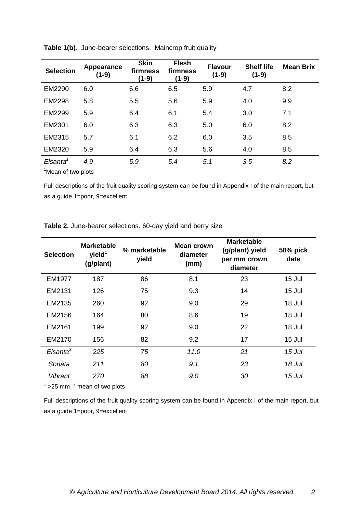| <b>Selection</b>     | Appearance<br>$(1-9)$ | <b>Skin</b><br>firmness<br>$(1-9)$ | <b>Flesh</b><br>firmness<br>$(1-9)$ | <b>Flavour</b><br>$(1-9)$ | <b>Shelf life</b><br>$(1-9)$ | <b>Mean Brix</b> |
|----------------------|-----------------------|------------------------------------|-------------------------------------|---------------------------|------------------------------|------------------|
| EM2290               | 6.0                   | 6.6                                | 6.5                                 | 5.9                       | 4.7                          | 8.2              |
| EM2298               | 5.8                   | 5.5                                | 5.6                                 | 5.9                       | 4.0                          | 9.9              |
| EM2299               | 5.9                   | 6.4                                | 6.1                                 | 5.4                       | 3.0                          | 7.1              |
| EM2301               | 6.0                   | 6.3                                | 6.3                                 | 5.0                       | 6.0                          | 8.2              |
| EM2315               | 5.7                   | 6.1                                | 6.2                                 | 6.0                       | 3.5                          | 8.5              |
| EM2320               | 5.9                   | 6.4                                | 6.3                                 | 5.6                       | 4.0                          | 8.5              |
| Elsanta <sup>1</sup> | 4.9                   | 5.9                                | 5.4                                 | 5.1                       | 3.5                          | 8.2              |
| la errito            |                       |                                    |                                     |                           |                              |                  |

**Table 1(b).** June-bearer selections. Maincrop fruit quality

<sup>1</sup>Mean of two plots

Full descriptions of the fruit quality scoring system can be found in Appendix I of the main report, but as a guide 1=poor, 9=excellent

**Table 2.** June-bearer selections. 60-day yield and berry size

| <b>Selection</b>    | <b>Marketable</b><br>yield <sup>1</sup><br>(g/plant) | % marketable<br>yield | Mean crown<br>diameter<br>(mm) | <b>Marketable</b><br>(g/plant) yield<br>per mm crown<br>diameter | 50% pick<br>date |
|---------------------|------------------------------------------------------|-----------------------|--------------------------------|------------------------------------------------------------------|------------------|
| EM1977              | 187                                                  | 86                    | 8.1                            | 23                                                               | 15 Jul           |
| EM2131              | 126                                                  | 75                    | 9.3                            | 14                                                               | 15 Jul           |
| EM2135              | 260                                                  | 92                    | 9.0                            | 29                                                               | 18 Jul           |
| EM2156              | 164                                                  | 80                    | 8.6                            | 19                                                               | 18 Jul           |
| EM2161              | 199                                                  | 92                    | 9.0                            | 22                                                               | 18 Jul           |
| EM2170              | 156                                                  | 82                    | 9.2                            | 17                                                               | 15 Jul           |
| $E$ Isanta ${}^{3}$ | 225                                                  | 75                    | 11.0                           | 21                                                               | 15 Jul           |
| Sonata              | 211                                                  | 80                    | 9.1                            | 23                                                               | 18 Jul           |
| Vibrant             | 270                                                  | 88                    | 9.0                            | 30                                                               | 15 Jul           |

 $1$  >25 mm,  $2$  mean of two plots

Full descriptions of the fruit quality scoring system can be found in Appendix I of the main report, but as a guide 1=poor, 9=excellent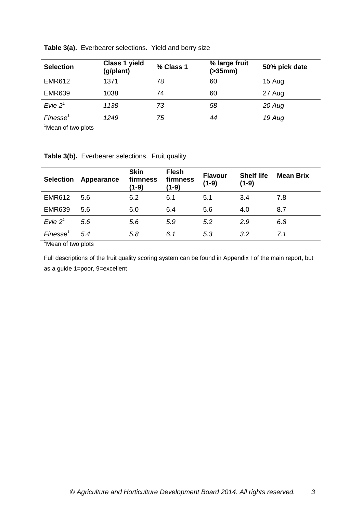| <b>Selection</b>     | <b>Class 1 yield</b><br>(g/plant) | % Class 1 | % large fruit<br>(>35mm) | 50% pick date |
|----------------------|-----------------------------------|-----------|--------------------------|---------------|
| <b>EMR612</b>        | 1371                              | 78        | 60                       | 15 Aug        |
| <b>EMR639</b>        | 1038                              | 74        | 60                       | 27 Aug        |
| Evie $21$            | 1138                              | 73        | 58                       | 20 Aug        |
| Finesse <sup>1</sup> | 1249                              | 75        | 44                       | 19 Aug        |

**Table 3(a).** Everbearer selections. Yield and berry size

<sup>1</sup>Mean of two plots

|  | Table 3(b). Everbearer selections. Fruit quality |  |
|--|--------------------------------------------------|--|
|--|--------------------------------------------------|--|

| Appearance | <b>Skin</b><br>firmness<br>$(1-9)$               | <b>Flesh</b><br>firmness<br>(1-9) | <b>Flavour</b><br>$(1-9)$ | <b>Shelf life</b><br>$(1-9)$ | <b>Mean Brix</b> |
|------------|--------------------------------------------------|-----------------------------------|---------------------------|------------------------------|------------------|
| 5.6        | 6.2                                              | 6.1                               | 5.1                       | 3.4                          | 7.8              |
| 5.6        | 6.0                                              | 6.4                               | 5.6                       | 4.0                          | 8.7              |
| 5.6        | 5.6                                              | 5.9                               | 5.2                       | 2.9                          | 6.8              |
| 5.4        | 5.8                                              | 6.1                               | 5.3                       | 3.2                          | 7.1              |
|            | $\sim$ $\sim$ $\sim$ $\sim$ $\sim$ $\sim$ $\sim$ |                                   |                           |                              |                  |

<sup>1</sup>Mean of two plots

Full descriptions of the fruit quality scoring system can be found in Appendix I of the main report, but as a guide 1=poor, 9=excellent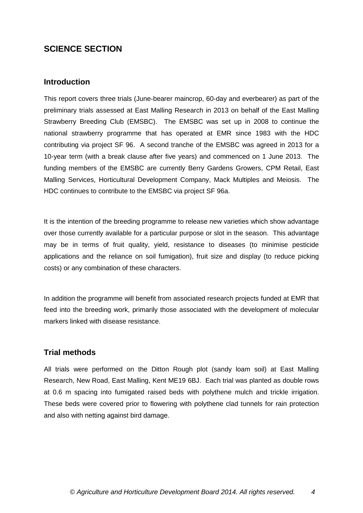## **SCIENCE SECTION**

## <span id="page-7-0"></span>**Introduction**

This report covers three trials (June-bearer maincrop, 60-day and everbearer) as part of the preliminary trials assessed at East Malling Research in 2013 on behalf of the East Malling Strawberry Breeding Club (EMSBC). The EMSBC was set up in 2008 to continue the national strawberry programme that has operated at EMR since 1983 with the HDC contributing via project SF 96. A second tranche of the EMSBC was agreed in 2013 for a 10-year term (with a break clause after five years) and commenced on 1 June 2013. The funding members of the EMSBC are currently Berry Gardens Growers, CPM Retail, East Malling Services, Horticultural Development Company, Mack Multiples and Meiosis. The HDC continues to contribute to the EMSBC via project SF 96a.

It is the intention of the breeding programme to release new varieties which show advantage over those currently available for a particular purpose or slot in the season. This advantage may be in terms of fruit quality, yield, resistance to diseases (to minimise pesticide applications and the reliance on soil fumigation), fruit size and display (to reduce picking costs) or any combination of these characters.

In addition the programme will benefit from associated research projects funded at EMR that feed into the breeding work, primarily those associated with the development of molecular markers linked with disease resistance.

## <span id="page-7-1"></span>**Trial methods**

All trials were performed on the Ditton Rough plot (sandy loam soil) at East Malling Research, New Road, East Malling, Kent ME19 6BJ. Each trial was planted as double rows at 0.6 m spacing into fumigated raised beds with polythene mulch and trickle irrigation. These beds were covered prior to flowering with polythene clad tunnels for rain protection and also with netting against bird damage.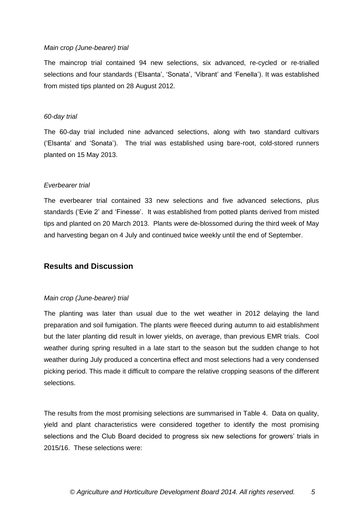#### *Main crop (June-bearer) trial*

The maincrop trial contained 94 new selections, six advanced, re-cycled or re-trialled selections and four standards ('Elsanta', 'Sonata', 'Vibrant' and 'Fenella'). It was established from misted tips planted on 28 August 2012.

#### *60-day trial*

The 60-day trial included nine advanced selections, along with two standard cultivars ('Elsanta' and 'Sonata'). The trial was established using bare-root, cold-stored runners planted on 15 May 2013.

#### *Everbearer trial*

The everbearer trial contained 33 new selections and five advanced selections, plus standards ('Evie 2' and 'Finesse'. It was established from potted plants derived from misted tips and planted on 20 March 2013. Plants were de-blossomed during the third week of May and harvesting began on 4 July and continued twice weekly until the end of September.

## <span id="page-8-0"></span>**Results and Discussion**

#### *Main crop (June-bearer) trial*

The planting was later than usual due to the wet weather in 2012 delaying the land preparation and soil fumigation. The plants were fleeced during autumn to aid establishment but the later planting did result in lower yields, on average, than previous EMR trials. Cool weather during spring resulted in a late start to the season but the sudden change to hot weather during July produced a concertina effect and most selections had a very condensed picking period. This made it difficult to compare the relative cropping seasons of the different selections.

The results from the most promising selections are summarised in Table 4. Data on quality, yield and plant characteristics were considered together to identify the most promising selections and the Club Board decided to progress six new selections for growers' trials in 2015/16. These selections were: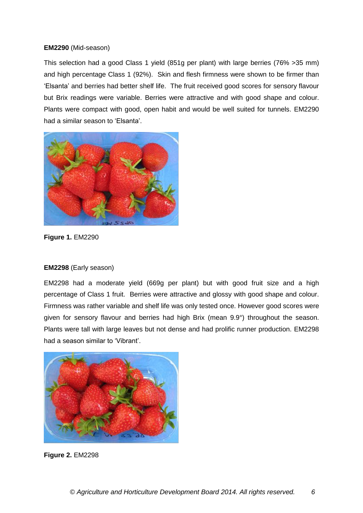#### **EM2290** (Mid-season)

This selection had a good Class 1 yield (851g per plant) with large berries (76% >35 mm) and high percentage Class 1 (92%). Skin and flesh firmness were shown to be firmer than 'Elsanta' and berries had better shelf life. The fruit received good scores for sensory flavour but Brix readings were variable. Berries were attractive and with good shape and colour. Plants were compact with good, open habit and would be well suited for tunnels. EM2290 had a similar season to 'Elsanta'.



**Figure 1.** EM2290

#### **EM2298** (Early season)

EM2298 had a moderate yield (669g per plant) but with good fruit size and a high percentage of Class 1 fruit. Berries were attractive and glossy with good shape and colour. Firmness was rather variable and shelf life was only tested once. However good scores were given for sensory flavour and berries had high Brix (mean 9.9°) throughout the season. Plants were tall with large leaves but not dense and had prolific runner production. EM2298 had a season similar to 'Vibrant'.



**Figure 2.** EM2298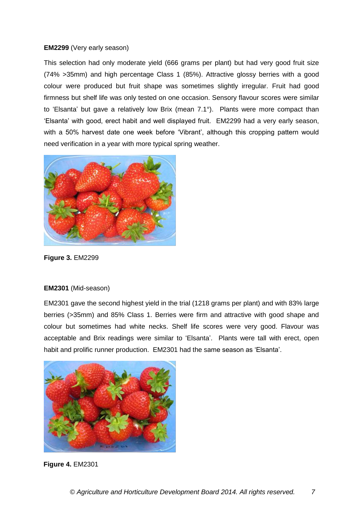#### **EM2299** (Very early season)

This selection had only moderate yield (666 grams per plant) but had very good fruit size (74% >35mm) and high percentage Class 1 (85%). Attractive glossy berries with a good colour were produced but fruit shape was sometimes slightly irregular. Fruit had good firmness but shelf life was only tested on one occasion. Sensory flavour scores were similar to 'Elsanta' but gave a relatively low Brix (mean 7.1°). Plants were more compact than 'Elsanta' with good, erect habit and well displayed fruit. EM2299 had a very early season, with a 50% harvest date one week before 'Vibrant', although this cropping pattern would need verification in a year with more typical spring weather.



**Figure 3.** EM2299

#### **EM2301** (Mid-season)

EM2301 gave the second highest yield in the trial (1218 grams per plant) and with 83% large berries (>35mm) and 85% Class 1. Berries were firm and attractive with good shape and colour but sometimes had white necks. Shelf life scores were very good. Flavour was acceptable and Brix readings were similar to 'Elsanta'. Plants were tall with erect, open habit and prolific runner production. EM2301 had the same season as 'Elsanta'.



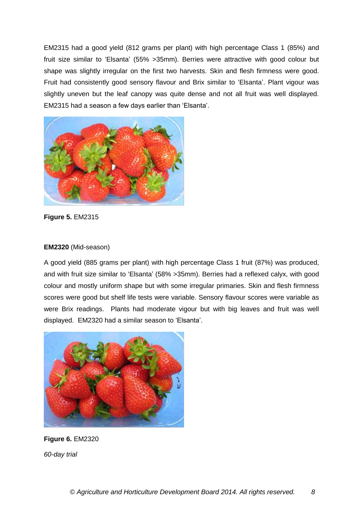EM2315 had a good yield (812 grams per plant) with high percentage Class 1 (85%) and fruit size similar to 'Elsanta' (55% >35mm). Berries were attractive with good colour but shape was slightly irregular on the first two harvests. Skin and flesh firmness were good. Fruit had consistently good sensory flavour and Brix similar to 'Elsanta'. Plant vigour was slightly uneven but the leaf canopy was quite dense and not all fruit was well displayed. EM2315 had a season a few days earlier than 'Elsanta'.



**Figure 5.** EM2315

## **EM2320** (Mid-season)

A good yield (885 grams per plant) with high percentage Class 1 fruit (87%) was produced, and with fruit size similar to 'Elsanta' (58% >35mm). Berries had a reflexed calyx, with good colour and mostly uniform shape but with some irregular primaries. Skin and flesh firmness scores were good but shelf life tests were variable. Sensory flavour scores were variable as were Brix readings. Plants had moderate vigour but with big leaves and fruit was well displayed. EM2320 had a similar season to 'Elsanta'.



**Figure 6.** EM2320 *60-day trial*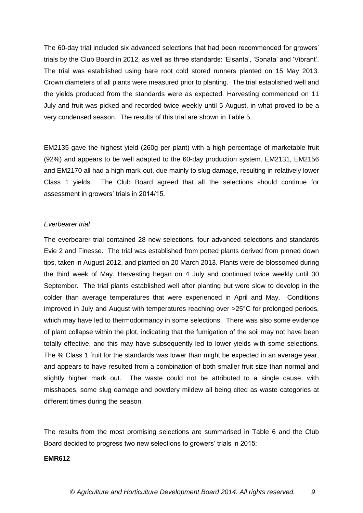The 60-day trial included six advanced selections that had been recommended for growers' trials by the Club Board in 2012, as well as three standards: 'Elsanta', 'Sonata' and 'Vibrant'. The trial was established using bare root cold stored runners planted on 15 May 2013. Crown diameters of all plants were measured prior to planting. The trial established well and the yields produced from the standards were as expected. Harvesting commenced on 11 July and fruit was picked and recorded twice weekly until 5 August, in what proved to be a very condensed season. The results of this trial are shown in Table 5.

EM2135 gave the highest yield (260g per plant) with a high percentage of marketable fruit (92%) and appears to be well adapted to the 60-day production system. EM2131, EM2156 and EM2170 all had a high mark-out, due mainly to slug damage, resulting in relatively lower Class 1 yields. The Club Board agreed that all the selections should continue for assessment in growers' trials in 2014/15.

#### *Everbearer trial*

The everbearer trial contained 28 new selections, four advanced selections and standards Evie 2 and Finesse. The trial was established from potted plants derived from pinned down tips, taken in August 2012, and planted on 20 March 2013. Plants were de-blossomed during the third week of May. Harvesting began on 4 July and continued twice weekly until 30 September. The trial plants established well after planting but were slow to develop in the colder than average temperatures that were experienced in April and May. Conditions improved in July and August with temperatures reaching over >25°C for prolonged periods, which may have led to thermodormancy in some selections. There was also some evidence of plant collapse within the plot, indicating that the fumigation of the soil may not have been totally effective, and this may have subsequently led to lower yields with some selections. The % Class 1 fruit for the standards was lower than might be expected in an average year, and appears to have resulted from a combination of both smaller fruit size than normal and slightly higher mark out. The waste could not be attributed to a single cause, with misshapes, some slug damage and powdery mildew all being cited as waste categories at different times during the season.

The results from the most promising selections are summarised in Table 6 and the Club Board decided to progress two new selections to growers' trials in 2015:

#### **EMR612**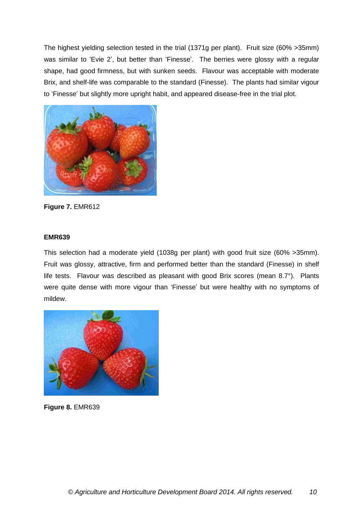The highest yielding selection tested in the trial (1371g per plant). Fruit size (60% >35mm) was similar to 'Evie 2', but better than 'Finesse'. The berries were glossy with a regular shape, had good firmness, but with sunken seeds. Flavour was acceptable with moderate Brix, and shelf-life was comparable to the standard (Finesse). The plants had similar vigour to 'Finesse' but slightly more upright habit, and appeared disease-free in the trial plot.



**Figure 7.** EMR612

### **EMR639**

This selection had a moderate yield (1038g per plant) with good fruit size (60% >35mm). Fruit was glossy, attractive, firm and performed better than the standard (Finesse) in shelf life tests. Flavour was described as pleasant with good Brix scores (mean 8.7°). Plants were quite dense with more vigour than 'Finesse' but were healthy with no symptoms of mildew.



**Figure 8.** EMR639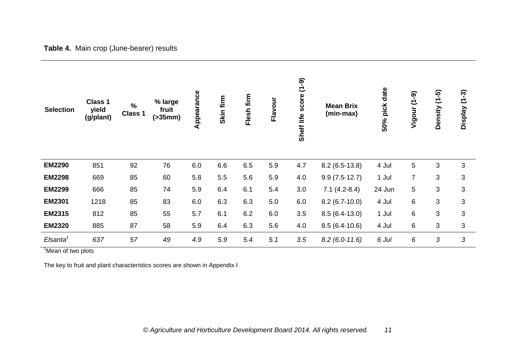| <b>Selection</b>     | Class 1<br>yield<br>(g/plant) | $\frac{0}{0}$<br>Class 1 | % large<br>fruit<br>( > 35mm) | Appearance | Skin firm | Flesh firm | Flavour | score $(1-9)$<br>life<br><b>Shelf</b> | <b>Mean Brix</b><br>(min-max) | 50% pick date | Vigour (1-9)   | Density (1-5) | $(1 - 3)$<br><b>Display</b> |
|----------------------|-------------------------------|--------------------------|-------------------------------|------------|-----------|------------|---------|---------------------------------------|-------------------------------|---------------|----------------|---------------|-----------------------------|
| <b>EM2290</b>        | 851                           | 92                       | 76                            | 6.0        | 6.6       | 6.5        | 5.9     | 4.7                                   | $8.2(6.5-13.8)$               | 4 Jul         | 5              | 3             | 3                           |
| <b>EM2298</b>        | 669                           | 85                       | 60                            | 5.8        | 5.5       | 5.6        | 5.9     | 4.0                                   | $9.9(7.5-12.7)$               | 1 Jul         | $\overline{7}$ | 3             | 3                           |
| <b>EM2299</b>        | 666                           | 85                       | 74                            | 5.9        | 6.4       | 6.1        | 5.4     | 3.0                                   | $7.1(4.2-8.4)$                | 24 Jun        | 5              | 3             | 3                           |
| <b>EM2301</b>        | 1218                          | 85                       | 83                            | 6.0        | 6.3       | 6.3        | 5.0     | 6.0                                   | $8.2(6.7-10.0)$               | 4 Jul         | 6              | 3             | 3                           |
| <b>EM2315</b>        | 812                           | 85                       | 55                            | 5.7        | 6.1       | 6.2        | 6.0     | 3.5                                   | $8.5(6.4-13.0)$               | 1 Jul         | 6              | 3             | 3                           |
| <b>EM2320</b>        | 885                           | 87                       | 58                            | 5.9        | 6.4       | 6.3        | 5.6     | 4.0                                   | $8.5(6.4-10.6)$               | 4 Jul         | 6              | 3             | 3                           |
| Elsanta <sup>1</sup> | 637                           | 57                       | 49                            | 4.9        | 5.9       | 5.4        | 5.1     | 3.5                                   | $8.2(6.0-11.6)$               | 6 Jul         | 6              | 3             | 3                           |

**Table 4.** Main crop (June-bearer) results

<sup>1</sup>Mean of two plots

The key to fruit and plant characteristics scores are shown in Appendix I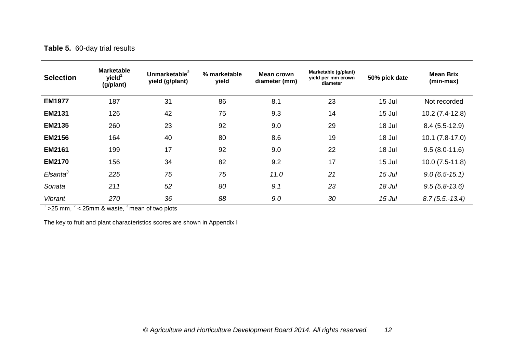## **Table 5.** 60-day trial results

| <b>Selection</b>     | <b>Marketable</b><br>yield <sup>1</sup><br>(g/plant) | Unmarketable <sup>2</sup><br>yield (g/plant) | % marketable<br>yield | Mean crown<br>diameter (mm) | Marketable (g/plant)<br>yield per mm crown<br>diameter | 50% pick date | <b>Mean Brix</b><br>(min-max) |
|----------------------|------------------------------------------------------|----------------------------------------------|-----------------------|-----------------------------|--------------------------------------------------------|---------------|-------------------------------|
| <b>EM1977</b>        | 187                                                  | 31                                           | 86                    | 8.1                         | 23                                                     | 15 Jul        | Not recorded                  |
| <b>EM2131</b>        | 126                                                  | 42                                           | 75                    | 9.3                         | 14                                                     | 15 Jul        | $10.2(7.4-12.8)$              |
| <b>EM2135</b>        | 260                                                  | 23                                           | 92                    | 9.0                         | 29                                                     | 18 Jul        | $8.4(5.5-12.9)$               |
| <b>EM2156</b>        | 164                                                  | 40                                           | 80                    | 8.6                         | 19                                                     | 18 Jul        | $10.1 (7.8-17.0)$             |
| <b>EM2161</b>        | 199                                                  | 17                                           | 92                    | 9.0                         | 22                                                     | 18 Jul        | $9.5(8.0-11.6)$               |
| <b>EM2170</b>        | 156                                                  | 34                                           | 82                    | 9.2                         | 17                                                     | 15 Jul        | $10.0(7.5-11.8)$              |
| Elsanta <sup>3</sup> | 225                                                  | 75                                           | 75                    | 11.0                        | 21                                                     | 15 Jul        | $9.0(6.5-15.1)$               |
| Sonata               | 211                                                  | 52                                           | 80                    | 9.1                         | 23                                                     | 18 Jul        | $9.5(5.8-13.6)$               |
| Vibrant              | 270                                                  | 36                                           | 88                    | 9.0                         | 30                                                     | 15 Jul        | $8.7(5.5.-13.4)$              |

 $1$  >25 mm,  $2$  < 25mm & waste,  $3$  mean of two plots

The key to fruit and plant characteristics scores are shown in Appendix I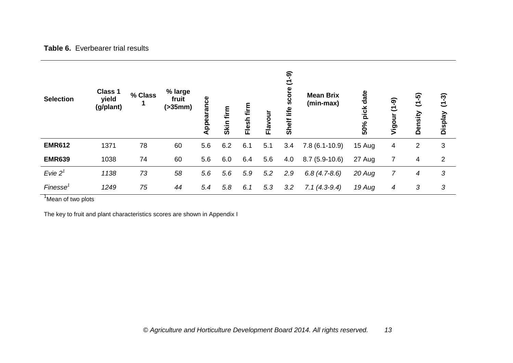## **Table 6.** Everbearer trial results

| <b>Selection</b>     | <b>Class 1</b><br>yield<br>(g/plant) | % Class | % large<br>fruit<br>( > 35mm) | rance<br>Appea | firm<br><b>Skin</b> | firm<br>Flesh | Flavour | ခု<br>こ<br>score<br>life<br>Shelf | <b>Mean Brix</b><br>(min-max) | pick date<br>50% | $\overline{(-6)}$<br>Vigour | $(1 - 5)$<br>Density | $(1 - 3)$<br><b>Display</b> |
|----------------------|--------------------------------------|---------|-------------------------------|----------------|---------------------|---------------|---------|-----------------------------------|-------------------------------|------------------|-----------------------------|----------------------|-----------------------------|
| <b>EMR612</b>        | 1371                                 | 78      | 60                            | 5.6            | 6.2                 | 6.1           | 5.1     | 3.4                               | $7.8(6.1-10.9)$               | 15 Aug           | 4                           | $\overline{2}$       | 3                           |
| <b>EMR639</b>        | 1038                                 | 74      | 60                            | 5.6            | 6.0                 | 6.4           | 5.6     | 4.0                               | $8.7(5.9-10.6)$               | 27 Aug           |                             | 4                    | $\overline{2}$              |
| Evie $21$            | 1138                                 | 73      | 58                            | 5.6            | 5.6                 | 5.9           | 5.2     | 2.9                               | $6.8(4.7-8.6)$                | 20 Aug           | 7                           | 4                    | 3                           |
| Finesse <sup>7</sup> | 1249                                 | 75      | 44                            | 5.4            | 5.8                 | 6.1           | 5.3     | 3.2                               | $7.1(4.3-9.4)$                | 19 Aug           | 4                           | 3                    | 3                           |

<sup>1</sup>Mean of two plots

The key to fruit and plant characteristics scores are shown in Appendix I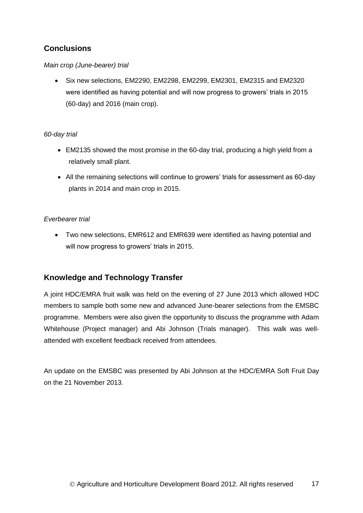## <span id="page-17-0"></span>**Conclusions**

### *Main crop (June-bearer) trial*

 Six new selections, EM2290, EM2298, EM2299, EM2301, EM2315 and EM2320 were identified as having potential and will now progress to growers' trials in 2015 (60-day) and 2016 (main crop).

### *60-day trial*

- EM2135 showed the most promise in the 60-day trial, producing a high yield from a relatively small plant.
- All the remaining selections will continue to growers' trials for assessment as 60-day plants in 2014 and main crop in 2015.

### *Everbearer trial*

 Two new selections, EMR612 and EMR639 were identified as having potential and will now progress to growers' trials in 2015.

## <span id="page-17-1"></span>**Knowledge and Technology Transfer**

A joint HDC/EMRA fruit walk was held on the evening of 27 June 2013 which allowed HDC members to sample both some new and advanced June-bearer selections from the EMSBC programme. Members were also given the opportunity to discuss the programme with Adam Whitehouse (Project manager) and Abi Johnson (Trials manager). This walk was wellattended with excellent feedback received from attendees.

An update on the EMSBC was presented by Abi Johnson at the HDC/EMRA Soft Fruit Day on the 21 November 2013.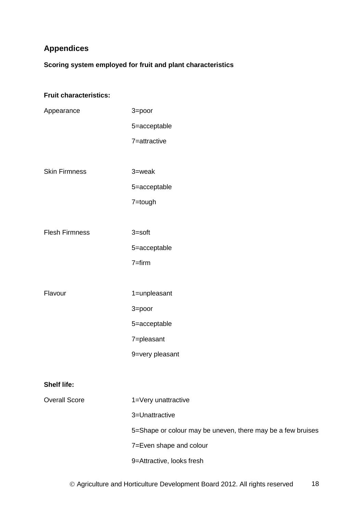# <span id="page-18-0"></span>**Appendices**

**Scoring system employed for fruit and plant characteristics**

## **Fruit characteristics:**

| Appearance            | 3=poor                                                      |
|-----------------------|-------------------------------------------------------------|
|                       | 5=acceptable                                                |
|                       | 7=attractive                                                |
|                       |                                                             |
| <b>Skin Firmness</b>  | $3 =$ weak                                                  |
|                       | 5=acceptable                                                |
|                       | 7=tough                                                     |
|                       |                                                             |
| <b>Flesh Firmness</b> | $3 = soft$                                                  |
|                       | 5=acceptable                                                |
|                       | $7 = firm$                                                  |
|                       |                                                             |
| Flavour               | 1=unpleasant                                                |
|                       | 3=poor                                                      |
|                       | 5=acceptable                                                |
|                       | 7=pleasant                                                  |
|                       | 9=very pleasant                                             |
|                       |                                                             |
| <b>Shelf life:</b>    |                                                             |
| <b>Overall Score</b>  | 1=Very unattractive                                         |
|                       | 3=Unattractive                                              |
|                       | 5=Shape or colour may be uneven, there may be a few bruises |
|                       | 7=Even shape and colour                                     |
|                       | 9=Attractive, looks fresh                                   |